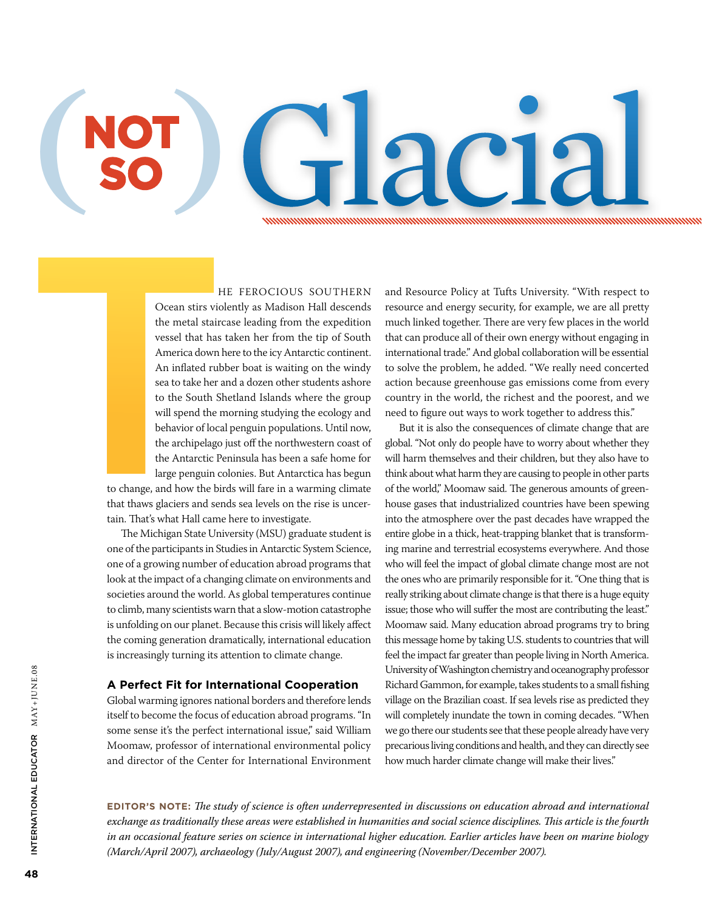Glacial Chal

he ferocious Southern Ocean stirs violently as Madison Hall descends the metal staircase leading from the expedition vessel that has taken her from the tip of South America down here to the icy Antarctic continent. An inflated rubber boat is waiting on the windy sea to take her and a dozen other students ashore to the South Shetland Islands where the group will spend the morning studying the ecology and behavior of local penguin populations. Until now, the archipelago just off the northwestern coast of the Antarctic Peninsula has been a safe home for large penguin colonies. But Antarctica has begun

to change, and how the birds will fare in a warming climate that thaws glaciers and sends sea levels on the rise is uncertain. That's what Hall came here to investigate.

**( ) NOT SO**

> The Michigan State University (MSU) graduate student is one of the participants in Studies in Antarctic System Science, one of a growing number of education abroad programs that look at the impact of a changing climate on environments and societies around the world. As global temperatures continue to climb, many scientists warn that a slow-motion catastrophe is unfolding on our planet. Because this crisis will likely affect the coming generation dramatically, international education is increasingly turning its attention to climate change.

### **A Perfect Fit for International Cooperation**

Global warming ignores national borders and therefore lends itself to become the focus of education abroad programs. "In some sense it's the perfect international issue," said William Moomaw, professor of international environmental policy and director of the Center for International Environment

and Resource Policy at Tufts University. "With respect to resource and energy security, for example, we are all pretty much linked together. There are very few places in the world that can produce all of their own energy without engaging in international trade." And global collaboration will be essential to solve the problem, he added. "We really need concerted action because greenhouse gas emissions come from every country in the world, the richest and the poorest, and we need to figure out ways to work together to address this."

But it is also the consequences of climate change that are global. "Not only do people have to worry about whether they will harm themselves and their children, but they also have to think about what harm they are causing to people in other parts of the world," Moomaw said. The generous amounts of greenhouse gases that industrialized countries have been spewing into the atmosphere over the past decades have wrapped the entire globe in a thick, heat-trapping blanket that is transforming marine and terrestrial ecosystems everywhere. And those who will feel the impact of global climate change most are not the ones who are primarily responsible for it. "One thing that is really striking about climate change is that there is a huge equity issue; those who will suffer the most are contributing the least." Moomaw said. Many education abroad programs try to bring this message home by taking U.S. students to countries that will feel the impact far greater than people living in North America. University of Washington chemistry and oceanography professor Richard Gammon, for example, takes students to a small fishing village on the Brazilian coast. If sea levels rise as predicted they will completely inundate the town in coming decades. "When we go there our students see that these people already have very precarious living conditions and health, and they can directly see how much harder climate change will make their lives."

**Editor's Note:** *The study of science is often underrepresented in discussions on education abroad and international exchange as traditionally these areas were established in humanities and social science disciplines. This article is the fourth in an occasional feature series on science in international higher education. Earlier articles have been on marine biology (March/April 2007), archaeology (July/August 2007), and engineering (November/December 2007).*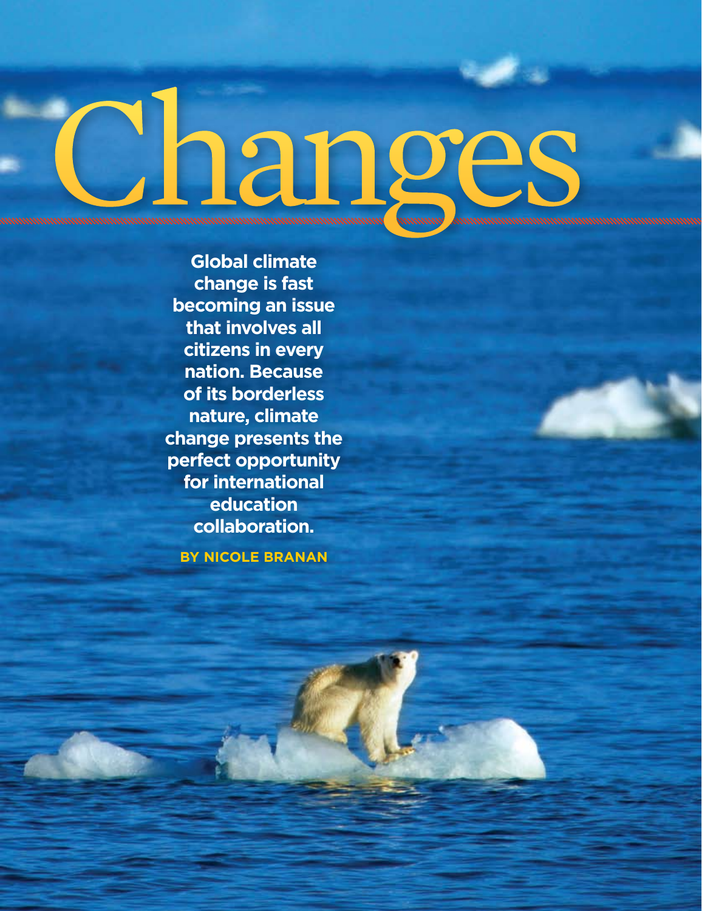# <u>Changes</u>

**Global climate change is fast becoming an issue that involves all citizens in every nation. Because of its borderless nature, climate change presents the perfect opportunity for international education collaboration.**

**By Nicole Branan**

Internati

onal

Educat

or

**49**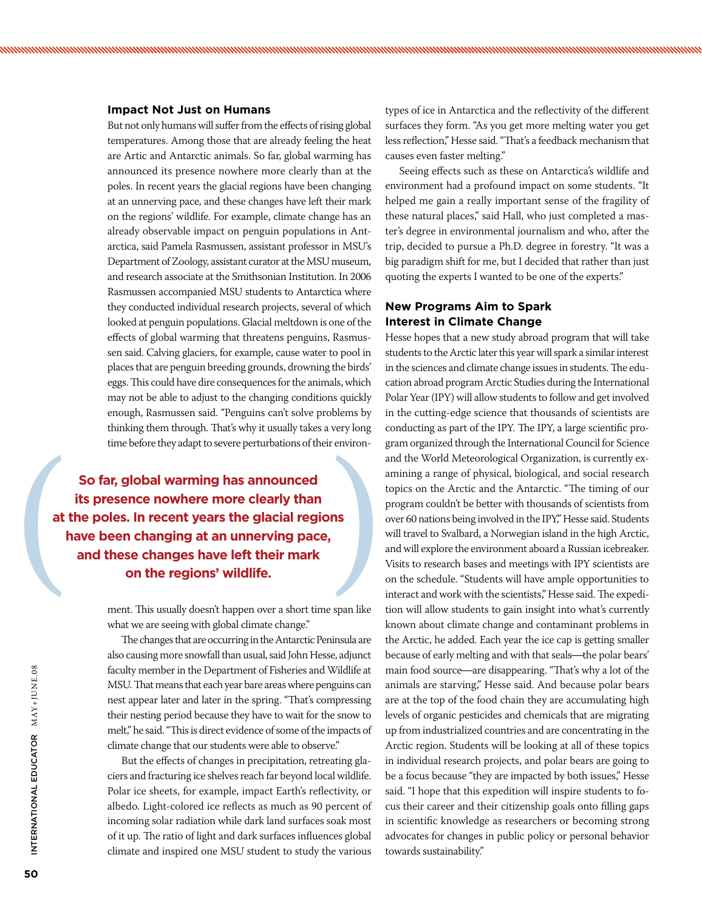### **Impact Not Just on Humans**

But not only humans will suffer from the effects of rising global temperatures. Among those that are already feeling the heat are Artic and Antarctic animals. So far, global warming has announced its presence nowhere more clearly than at the poles. In recent years the glacial regions have been changing at an unnerving pace, and these changes have left their mark on the regions' wildlife. For example, climate change has an already observable impact on penguin populations in Antarctica, said Pamela Rasmussen, assistant professor in MSU's Department of Zoology, assistant curator at the MSU museum, and research associate at the Smithsonian Institution. In 2006 Rasmussen accompanied MSU students to Antarctica where they conducted individual research projects, several of which looked at penguin populations. Glacial meltdown is one of the effects of global warming that threatens penguins, Rasmussen said. Calving glaciers, for example, cause water to pool in places that are penguin breeding grounds, drowning the birds' eggs. This could have dire consequences for the animals, which may not be able to adjust to the changing conditions quickly enough, Rasmussen said. "Penguins can't solve problems by thinking them through. That's why it usually takes a very long time before they adapt to severe perturbations of their environ-

So far, global warming has announced<br>its presence nowhere more clearly than<br>at the poles. In recent years the glacial regions<br>have been changing at an unnerving pace,<br>and these changes have left their mark<br>on the regions' **its presence nowhere more clearly than at the poles. In recent years the glacial regions have been changing at an unnerving pace, and these changes have left their mark on the regions' wildlife.** 

> ment. This usually doesn't happen over a short time span like what we are seeing with global climate change."

> The changes that are occurring in the Antarctic Peninsula are also causing more snowfall than usual, said John Hesse, adjunct faculty member in the Department of Fisheries and Wildlife at MSU. That means that each year bare areas where penguins can nest appear later and later in the spring. "That's compressing their nesting period because they have to wait for the snow to melt," he said. "This is direct evidence of some of the impacts of climate change that our students were able to observe."

> But the effects of changes in precipitation, retreating glaciers and fracturing ice shelves reach far beyond local wildlife. Polar ice sheets, for example, impact Earth's reflectivity, or albedo. Light-colored ice reflects as much as 90 percent of incoming solar radiation while dark land surfaces soak most of it up. The ratio of light and dark surfaces influences global climate and inspired one MSU student to study the various

types of ice in Antarctica and the reflectivity of the different surfaces they form. "As you get more melting water you get less reflection," Hesse said. "That's a feedback mechanism that causes even faster melting."

Seeing effects such as these on Antarctica's wildlife and environment had a profound impact on some students. "It helped me gain a really important sense of the fragility of these natural places," said Hall, who just completed a master's degree in environmental journalism and who, after the trip, decided to pursue a Ph.D. degree in forestry. "It was a big paradigm shift for me, but I decided that rather than just quoting the experts I wanted to be one of the experts."

### **New Programs Aim to Spark Interest in Climate Change**

Hesse hopes that a new study abroad program that will take students to the Arctic later this year will spark a similar interest in the sciences and climate change issues in students. The education abroad program Arctic Studies during the International Polar Year (IPY) will allow students to follow and get involved in the cutting-edge science that thousands of scientists are conducting as part of the IPY. The IPY, a large scientific program organized through the International Council for Science and the World Meteorological Organization, is currently examining a range of physical, biological, and social research topics on the Arctic and the Antarctic. "The timing of our program couldn't be better with thousands of scientists from over 60 nations being involved in the IPY", Hesse said. Students will travel to Svalbard, a Norwegian island in the high Arctic, and will explore the environment aboard a Russian icebreaker. Visits to research bases and meetings with IPY scientists are on the schedule. "Students will have ample opportunities to interact and work with the scientists," Hesse said. The expedition will allow students to gain insight into what's currently known about climate change and contaminant problems in the Arctic, he added. Each year the ice cap is getting smaller because of early melting and with that seals—the polar bears' main food source—are disappearing. "That's why a lot of the animals are starving," Hesse said. And because polar bears are at the top of the food chain they are accumulating high levels of organic pesticides and chemicals that are migrating up from industrialized countries and are concentrating in the Arctic region. Students will be looking at all of these topics in individual research projects, and polar bears are going to be a focus because "they are impacted by both issues," Hesse said. "I hope that this expedition will inspire students to focus their career and their citizenship goals onto filling gaps in scientific knowledge as researchers or becoming strong advocates for changes in public policy or personal behavior towards sustainability."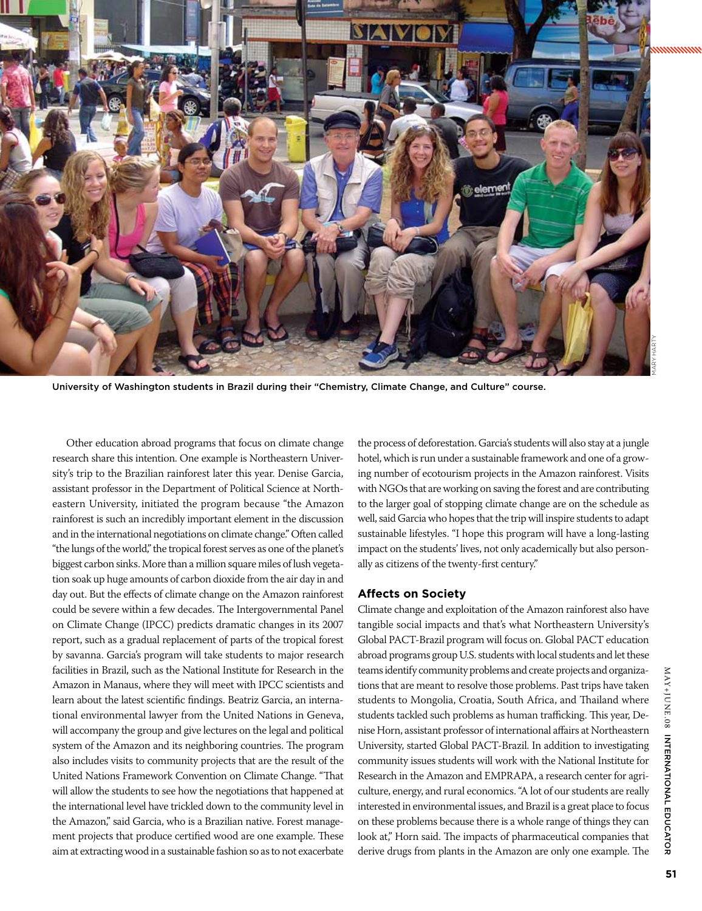

University of Washington students in Brazil during their "Chemistry, Climate Change, and Culture" course.

Other education abroad programs that focus on climate change research share this intention. One example is Northeastern University's trip to the Brazilian rainforest later this year. Denise Garcia, assistant professor in the Department of Political Science at Northeastern University, initiated the program because "the Amazon rainforest is such an incredibly important element in the discussion and in the international negotiations on climate change." Often called "the lungs of the world," the tropical forest serves as one of the planet's biggest carbon sinks. More than a million square miles of lush vegetation soak up huge amounts of carbon dioxide from the air day in and day out. But the effects of climate change on the Amazon rainforest could be severe within a few decades. The Intergovernmental Panel on Climate Change (IPCC) predicts dramatic changes in its 2007 report, such as a gradual replacement of parts of the tropical forest by savanna. Garcia's program will take students to major research facilities in Brazil, such as the National Institute for Research in the Amazon in Manaus, where they will meet with IPCC scientists and learn about the latest scientific findings. Beatriz Garcia, an international environmental lawyer from the United Nations in Geneva, will accompany the group and give lectures on the legal and political system of the Amazon and its neighboring countries. The program also includes visits to community projects that are the result of the United Nations Framework Convention on Climate Change. "That will allow the students to see how the negotiations that happened at the international level have trickled down to the community level in the Amazon," said Garcia, who is a Brazilian native. Forest management projects that produce certified wood are one example. These aim at extracting wood in a sustainable fashion so as to not exacerbate

the process of deforestation. Garcia's students will also stay at a jungle hotel, which is run under a sustainable framework and one of a growing number of ecotourism projects in the Amazon rainforest. Visits with NGOs that are working on saving the forest and are contributing to the larger goal of stopping climate change are on the schedule as well, said Garcia who hopes that the trip will inspire students to adapt sustainable lifestyles. "I hope this program will have a long-lasting impact on the students' lives, not only academically but also personally as citizens of the twenty-first century."

### **Affects on Society**

Climate change and exploitation of the Amazon rainforest also have tangible social impacts and that's what Northeastern University's Global PACT-Brazil program will focus on. Global PACT education abroad programs group U.S. students with local students and let these teams identify community problems and create projects and organizations that are meant to resolve those problems. Past trips have taken students to Mongolia, Croatia, South Africa, and Thailand where students tackled such problems as human trafficking. This year, Denise Horn, assistant professor of international affairs at Northeastern University, started Global PACT-Brazil. In addition to investigating community issues students will work with the National Institute for Research in the Amazon and EMPRAPA, a research center for agriculture, energy, and rural economics. "A lot of our students are really interested in environmental issues, and Brazil is a great place to focus on these problems because there is a whole range of things they can look at," Horn said. The impacts of pharmaceutical companies that derive drugs from plants in the Amazon are only one example. The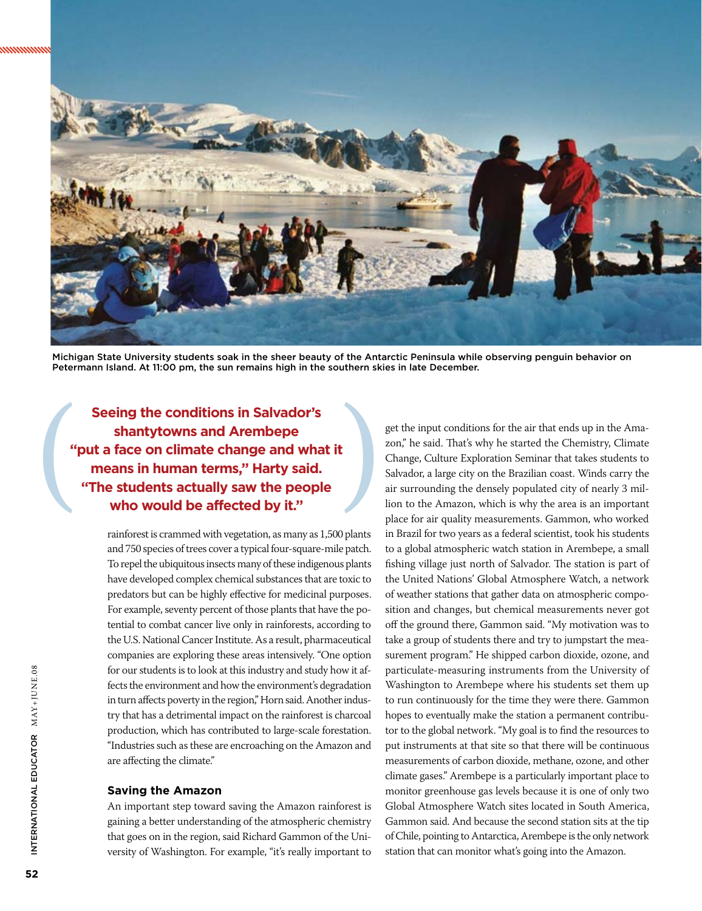

Michigan State University students soak in the sheer beauty of the Antarctic Peninsula while observing penguin behavior on Petermann Island. At 11:00 pm, the sun remains high in the southern skies in late December.

Seeing the conditions in Salvador's<br>shantytowns and Arembepe<br>"put a face on climate change and what it<br>means in human terms," Harty said.<br>"The students actually saw the people<br>who would be affected by it." **shantytowns and Arembepe "put a face on climate change and what it means in human terms," Harty said. "The students actually saw the people who would be affected by it."** 

> rainforest is crammed with vegetation, as many as 1,500 plants and 750 species of trees cover a typical four-square-mile patch. To repel the ubiquitous insects many of these indigenous plants have developed complex chemical substances that are toxic to predators but can be highly effective for medicinal purposes. For example, seventy percent of those plants that have the potential to combat cancer live only in rainforests, according to the U.S. National Cancer Institute. As a result, pharmaceutical companies are exploring these areas intensively. "One option for our students is to look at this industry and study how it affects the environment and how the environment's degradation in turn affects poverty in the region," Horn said. Another industry that has a detrimental impact on the rainforest is charcoal production, which has contributed to large-scale forestation. "Industries such as these are encroaching on the Amazon and are affecting the climate."

### **Saving the Amazon**

An important step toward saving the Amazon rainforest is gaining a better understanding of the atmospheric chemistry that goes on in the region, said Richard Gammon of the University of Washington. For example, "it's really important to

get the input conditions for the air that ends up in the Amazon," he said. That's why he started the Chemistry, Climate Change, Culture Exploration Seminar that takes students to Salvador, a large city on the Brazilian coast. Winds carry the air surrounding the densely populated city of nearly 3 million to the Amazon, which is why the area is an important place for air quality measurements. Gammon, who worked in Brazil for two years as a federal scientist, took his students to a global atmospheric watch station in Arembepe, a small fishing village just north of Salvador. The station is part of the United Nations' Global Atmosphere Watch, a network of weather stations that gather data on atmospheric composition and changes, but chemical measurements never got off the ground there, Gammon said. "My motivation was to take a group of students there and try to jumpstart the measurement program." He shipped carbon dioxide, ozone, and particulate-measuring instruments from the University of Washington to Arembepe where his students set them up to run continuously for the time they were there. Gammon hopes to eventually make the station a permanent contributor to the global network. "My goal is to find the resources to put instruments at that site so that there will be continuous measurements of carbon dioxide, methane, ozone, and other climate gases." Arembepe is a particularly important place to monitor greenhouse gas levels because it is one of only two Global Atmosphere Watch sites located in South America, Gammon said. And because the second station sits at the tip of Chile, pointing to Antarctica, Arembepe is the only network station that can monitor what's going into the Amazon.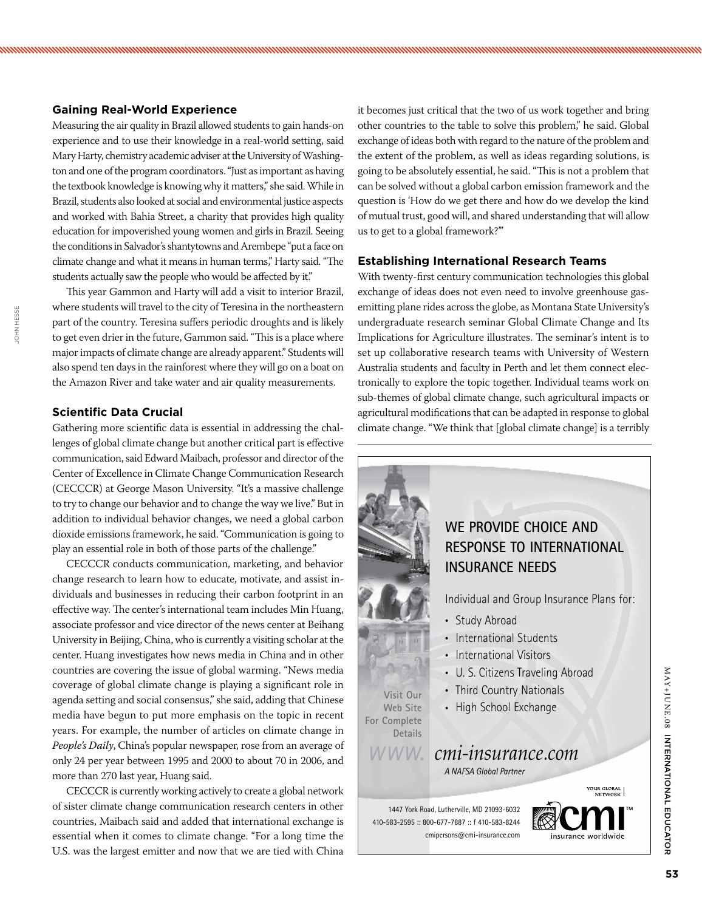### **Gaining Real-World Experience**

Measuring the air quality in Brazil allowed students to gain hands-on experience and to use their knowledge in a real-world setting, said Mary Harty, chemistry academic adviser at the University of Washington and one of the program coordinators. "Just as important as having the textbook knowledge is knowing why it matters," she said. While in Brazil, students also looked at social and environmental justice aspects and worked with Bahia Street, a charity that provides high quality education for impoverished young women and girls in Brazil. Seeing the conditions in Salvador's shantytowns and Arembepe "put a face on climate change and what it means in human terms," Harty said. "The students actually saw the people who would be affected by it."

This year Gammon and Harty will add a visit to interior Brazil, where students will travel to the city of Teresina in the northeastern part of the country. Teresina suffers periodic droughts and is likely to get even drier in the future, Gammon said. "This is a place where major impacts of climate change are already apparent." Students will also spend ten days in the rainforest where they will go on a boat on the Amazon River and take water and air quality measurements.

### **Scientific Data Crucial**

Gathering more scientific data is essential in addressing the challenges of global climate change but another critical part is effective communication, said Edward Maibach, professor and director of the Center of Excellence in Climate Change Communication Research (CECCCR) at George Mason University. "It's a massive challenge to try to change our behavior and to change the way we live." But in addition to individual behavior changes, we need a global carbon dioxide emissions framework, he said. "Communication is going to play an essential role in both of those parts of the challenge."

CECCCR conducts communication, marketing, and behavior change research to learn how to educate, motivate, and assist individuals and businesses in reducing their carbon footprint in an effective way. The center's international team includes Min Huang, associate professor and vice director of the news center at Beihang University in Beijing, China, who is currently a visiting scholar at the center. Huang investigates how news media in China and in other countries are covering the issue of global warming. "News media coverage of global climate change is playing a significant role in agenda setting and social consensus," she said, adding that Chinese media have begun to put more emphasis on the topic in recent years. For example, the number of articles on climate change in *People's Daily,* China's popular newspaper, rose from an average of only 24 per year between 1995 and 2000 to about 70 in 2006, and more than 270 last year, Huang said.

CECCCR is currently working actively to create a global network of sister climate change communication research centers in other countries, Maibach said and added that international exchange is essential when it comes to climate change. "For a long time the U.S. was the largest emitter and now that we are tied with China it becomes just critical that the two of us work together and bring other countries to the table to solve this problem," he said. Global exchange of ideas both with regard to the nature of the problem and the extent of the problem, as well as ideas regarding solutions, is going to be absolutely essential, he said. "This is not a problem that can be solved without a global carbon emission framework and the question is 'How do we get there and how do we develop the kind of mutual trust, good will, and shared understanding that will allow us to get to a global framework?"'

### **Establishing International Research Teams**

With twenty-first century communication technologies this global exchange of ideas does not even need to involve greenhouse gasemitting plane rides across the globe, as Montana State University's undergraduate research seminar Global Climate Change and Its Implications for Agriculture illustrates. The seminar's intent is to set up collaborative research teams with University of Western Australia students and faculty in Perth and let them connect electronically to explore the topic together. Individual teams work on sub-themes of global climate change, such agricultural impacts or agricultural modifications that can be adapted in response to global climate change. "We think that [global climate change] is a terribly



MAY+JUNE.08

 $\Delta Y + J \cup E$ 

 $\frac{80}{20}$ 

Internati

onal

Educat